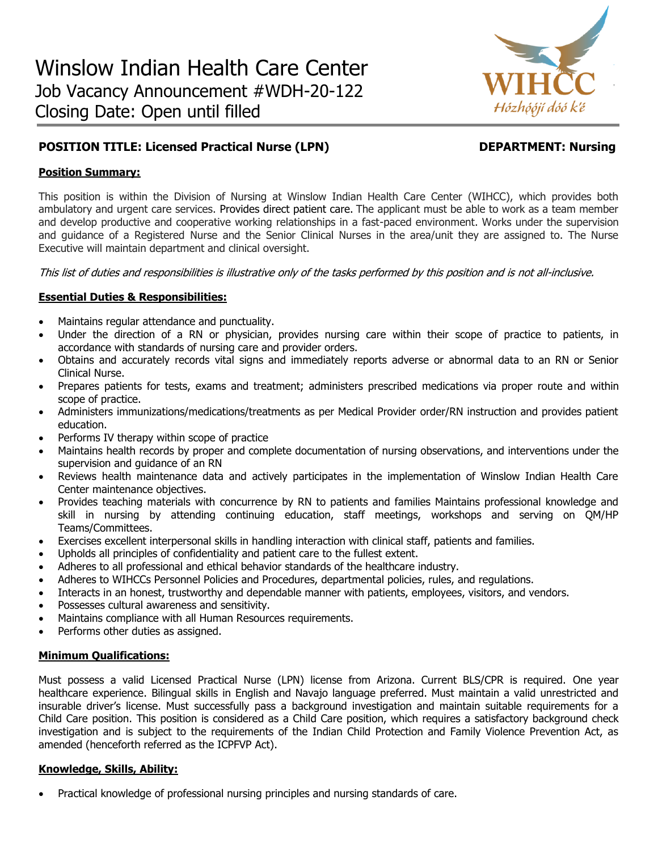

# **POSITION TITLE: Licensed Practical Nurse (LPN) DEPARTMENT: Nursing**

# **Position Summary:**

This position is within the Division of Nursing at Winslow Indian Health Care Center (WIHCC), which provides both ambulatory and urgent care services. Provides direct patient care. The applicant must be able to work as a team member and develop productive and cooperative working relationships in a fast-paced environment. Works under the supervision and guidance of a Registered Nurse and the Senior Clinical Nurses in the area/unit they are assigned to. The Nurse Executive will maintain department and clinical oversight.

This list of duties and responsibilities is illustrative only of the tasks performed by this position and is not all-inclusive.

# **Essential Duties & Responsibilities:**

- Maintains regular attendance and punctuality.
- Under the direction of a RN or physician, provides nursing care within their scope of practice to patients, in accordance with standards of nursing care and provider orders.
- Obtains and accurately records vital signs and immediately reports adverse or abnormal data to an RN or Senior Clinical Nurse.
- Prepares patients for tests, exams and treatment; administers prescribed medications via proper route and within scope of practice.
- Administers immunizations/medications/treatments as per Medical Provider order/RN instruction and provides patient education.
- Performs IV therapy within scope of practice
- Maintains health records by proper and complete documentation of nursing observations, and interventions under the supervision and guidance of an RN
- Reviews health maintenance data and actively participates in the implementation of Winslow Indian Health Care Center maintenance objectives.
- Provides teaching materials with concurrence by RN to patients and families Maintains professional knowledge and skill in nursing by attending continuing education, staff meetings, workshops and serving on QM/HP Teams/Committees.
- Exercises excellent interpersonal skills in handling interaction with clinical staff, patients and families.
- Upholds all principles of confidentiality and patient care to the fullest extent.
- Adheres to all professional and ethical behavior standards of the healthcare industry.
- Adheres to WIHCCs Personnel Policies and Procedures, departmental policies, rules, and regulations.
- Interacts in an honest, trustworthy and dependable manner with patients, employees, visitors, and vendors.
- Possesses cultural awareness and sensitivity.
- Maintains compliance with all Human Resources requirements.
- Performs other duties as assigned.

### **Minimum Qualifications:**

Must possess a valid Licensed Practical Nurse (LPN) license from Arizona. Current BLS/CPR is required. One year healthcare experience. Bilingual skills in English and Navajo language preferred. Must maintain a valid unrestricted and insurable driver's license. Must successfully pass a background investigation and maintain suitable requirements for a Child Care position. This position is considered as a Child Care position, which requires a satisfactory background check investigation and is subject to the requirements of the Indian Child Protection and Family Violence Prevention Act, as amended (henceforth referred as the ICPFVP Act).

### **Knowledge, Skills, Ability:**

Practical knowledge of professional nursing principles and nursing standards of care.